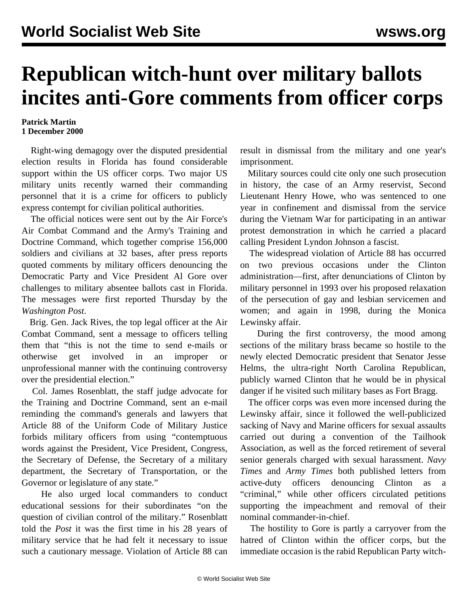## **Republican witch-hunt over military ballots incites anti-Gore comments from officer corps**

## **Patrick Martin 1 December 2000**

 Right-wing demagogy over the disputed presidential election results in Florida has found considerable support within the US officer corps. Two major US military units recently warned their commanding personnel that it is a crime for officers to publicly express contempt for civilian political authorities.

 The official notices were sent out by the Air Force's Air Combat Command and the Army's Training and Doctrine Command, which together comprise 156,000 soldiers and civilians at 32 bases, after press reports quoted comments by military officers denouncing the Democratic Party and Vice President Al Gore over challenges to military absentee ballots cast in Florida. The messages were first reported Thursday by the *Washington Post*.

 Brig. Gen. Jack Rives, the top legal officer at the Air Combat Command, sent a message to officers telling them that "this is not the time to send e-mails or otherwise get involved in an improper or unprofessional manner with the continuing controversy over the presidential election."

 Col. James Rosenblatt, the staff judge advocate for the Training and Doctrine Command, sent an e-mail reminding the command's generals and lawyers that Article 88 of the Uniform Code of Military Justice forbids military officers from using "contemptuous words against the President, Vice President, Congress, the Secretary of Defense, the Secretary of a military department, the Secretary of Transportation, or the Governor or legislature of any state."

 He also urged local commanders to conduct educational sessions for their subordinates "on the question of civilian control of the military." Rosenblatt told the *Post* it was the first time in his 28 years of military service that he had felt it necessary to issue such a cautionary message. Violation of Article 88 can result in dismissal from the military and one year's imprisonment.

 Military sources could cite only one such prosecution in history, the case of an Army reservist, Second Lieutenant Henry Howe, who was sentenced to one year in confinement and dismissal from the service during the Vietnam War for participating in an antiwar protest demonstration in which he carried a placard calling President Lyndon Johnson a fascist.

 The widespread violation of Article 88 has occurred on two previous occasions under the Clinton administration—first, after denunciations of Clinton by military personnel in 1993 over his proposed relaxation of the persecution of gay and lesbian servicemen and women; and again in 1998, during the Monica Lewinsky affair.

 During the first controversy, the mood among sections of the military brass became so hostile to the newly elected Democratic president that Senator Jesse Helms, the ultra-right North Carolina Republican, publicly warned Clinton that he would be in physical danger if he visited such military bases as Fort Bragg.

 The officer corps was even more incensed during the Lewinsky affair, since it followed the well-publicized sacking of Navy and Marine officers for sexual assaults carried out during a convention of the Tailhook Association, as well as the forced retirement of several senior generals charged with sexual harassment. *Navy Times* and *Army Times* both published letters from active-duty officers denouncing Clinton as a "criminal," while other officers circulated petitions supporting the impeachment and removal of their nominal commander-in-chief.

 The hostility to Gore is partly a carryover from the hatred of Clinton within the officer corps, but the immediate occasion is the rabid Republican Party witch